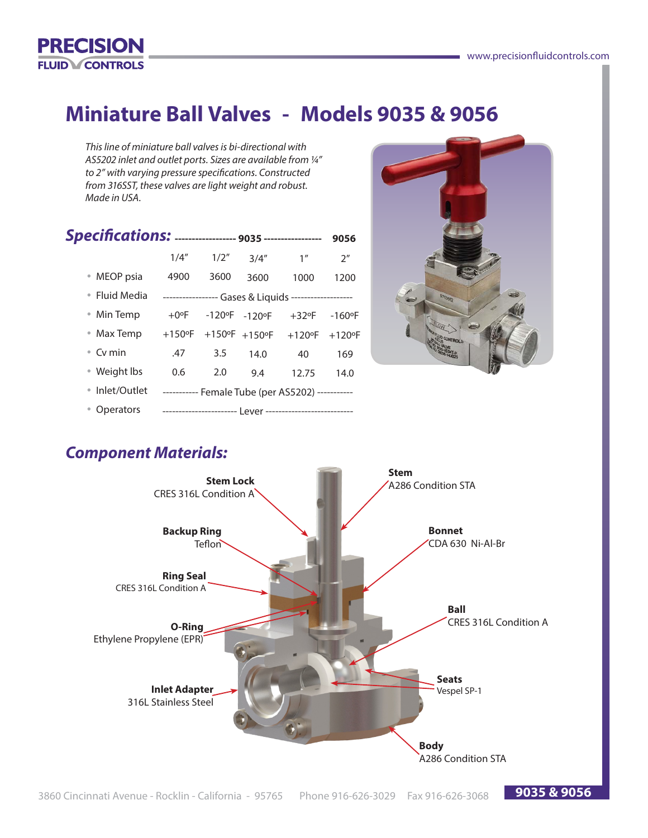**9035 & 9056**



## **Miniature Ball Valves - Models 9035 & 9056**

*This line of miniature ball valves is bi-directional with AS5202 inlet and outlet ports. Sizes are available from ¼" to 2" with varying pressure specifications. Constructed from 316SST, these valves are light weight and robust. Made in USA.*

|                | 1/4"                                                 | 1/2"                                        | 3/4''                             | 1 <sup>''</sup>                                  | 2 <sup>n</sup>        |  |  |  |  |
|----------------|------------------------------------------------------|---------------------------------------------|-----------------------------------|--------------------------------------------------|-----------------------|--|--|--|--|
| • MEOP psia    | 4900                                                 | 3600                                        | 3600                              | 1000                                             | 1200                  |  |  |  |  |
| • Fluid Media  | ---------------- Gases & Liquids ------------------- |                                             |                                   |                                                  |                       |  |  |  |  |
| • Min Temp     | $+0$ °F                                              | $-120$ <sup>o</sup> F $-120$ <sup>o</sup> F |                                   | $+32$ °F                                         | $-160$ <sup>o</sup> F |  |  |  |  |
| • Max Temp     | $+150$ °F                                            |                                             | $+150^{\circ}$ F $+150^{\circ}$ F | $+120$ °F                                        | $+120$ °F             |  |  |  |  |
| • Cv min       | .47                                                  | 3.5                                         | 14.0                              | 40                                               | 169                   |  |  |  |  |
| • Weight lbs   | 0.6                                                  | 2.0                                         | 9.4                               | 12.75                                            | 14.0                  |  |  |  |  |
| • Inlet/Outlet |                                                      |                                             |                                   | ----------- Female Tube (per AS5202) ----------- |                       |  |  |  |  |
| Operators      |                                                      |                                             |                                   |                                                  |                       |  |  |  |  |



## *Component Materials:*